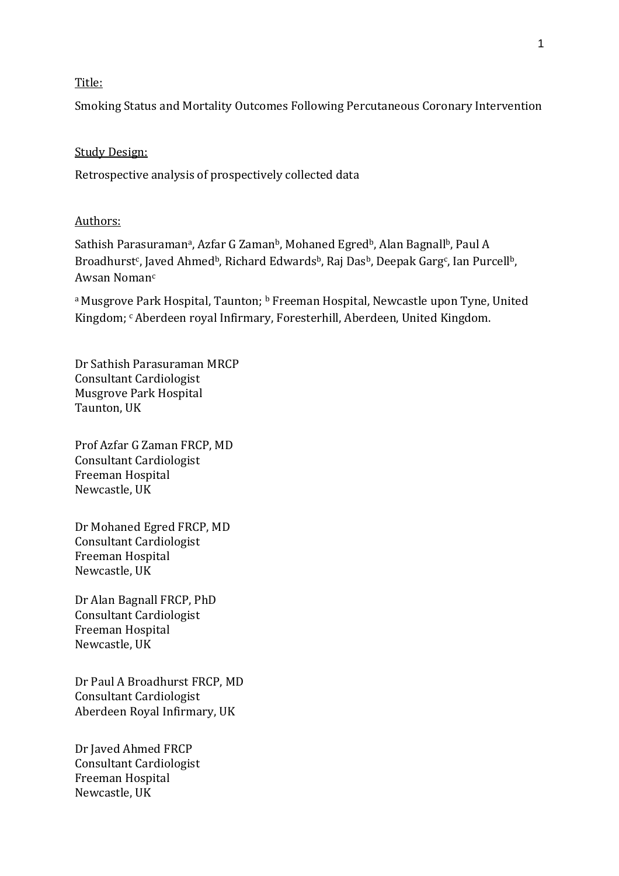# Title:

Smoking Status and Mortality Outcomes Following Percutaneous Coronary Intervention

#### Study Design:

Retrospective analysis of prospectively collected data

# Authors:

Sathish Parasuramanª, Azfar G Zamanʰ, Mohaned Egredʰ, Alan Bagnallʰ, Paul A Broadhurst<sup>c</sup>, Javed Ahmed<sup>b</sup>, Richard Edwards<sup>b</sup>, Raj Das<sup>b</sup>, Deepak Garg<sup>c</sup>, Ian Purcell<sup>b</sup>, Awsan Noman<sup>c</sup>

<sup>a</sup> Musgrove Park Hospital, Taunton; <sup>b</sup> Freeman Hospital, Newcastle upon Tyne, United Kingdom; <sup>c</sup>Aberdeen royal Infirmary, Foresterhill, Aberdeen, United Kingdom.

Dr Sathish Parasuraman MRCP Consultant Cardiologist Musgrove Park Hospital Taunton, UK

Prof Azfar G Zaman FRCP, MD Consultant Cardiologist Freeman Hospital Newcastle, UK

Dr Mohaned Egred FRCP, MD Consultant Cardiologist Freeman Hospital Newcastle, UK

Dr Alan Bagnall FRCP, PhD Consultant Cardiologist Freeman Hospital Newcastle, UK

Dr Paul A Broadhurst FRCP, MD Consultant Cardiologist Aberdeen Royal Infirmary, UK

Dr Javed Ahmed FRCP Consultant Cardiologist Freeman Hospital Newcastle, UK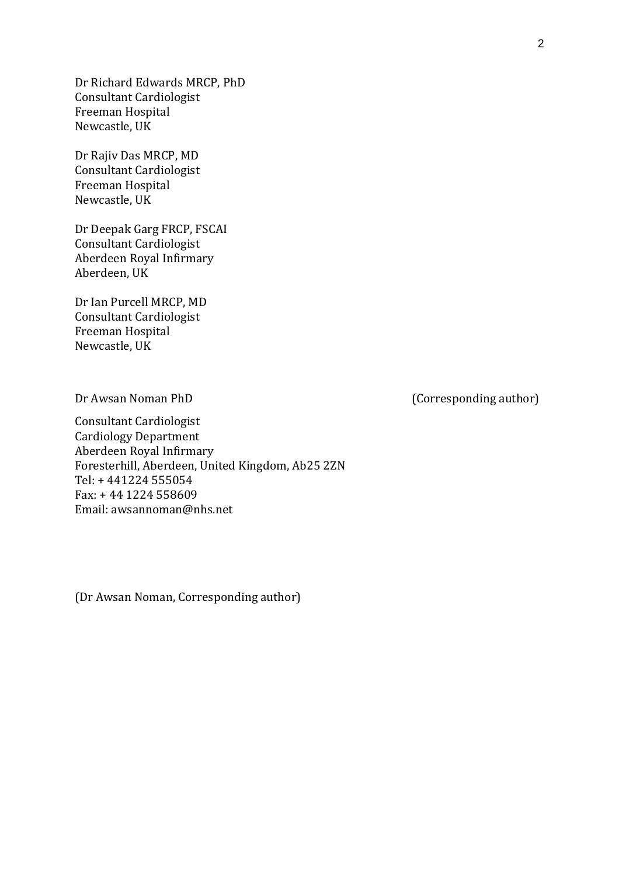Dr Richard Edwards MRCP, PhD Consultant Cardiologist Freeman Hospital Newcastle, UK

Dr Rajiv Das MRCP, MD Consultant Cardiologist Freeman Hospital Newcastle, UK

Dr Deepak Garg FRCP, FSCAI Consultant Cardiologist Aberdeen Royal Infirmary Aberdeen, UK

Dr Ian Purcell MRCP, MD Consultant Cardiologist Freeman Hospital Newcastle, UK

Dr Awsan Noman PhD (Corresponding author)

Consultant Cardiologist Cardiology Department Aberdeen Royal Infirmary Foresterhill, Aberdeen, United Kingdom, Ab25 2ZN Tel: + 441224 555054 Fax: + 44 1224 558609 Email: awsannoman@nhs.net

(Dr Awsan Noman, Corresponding author)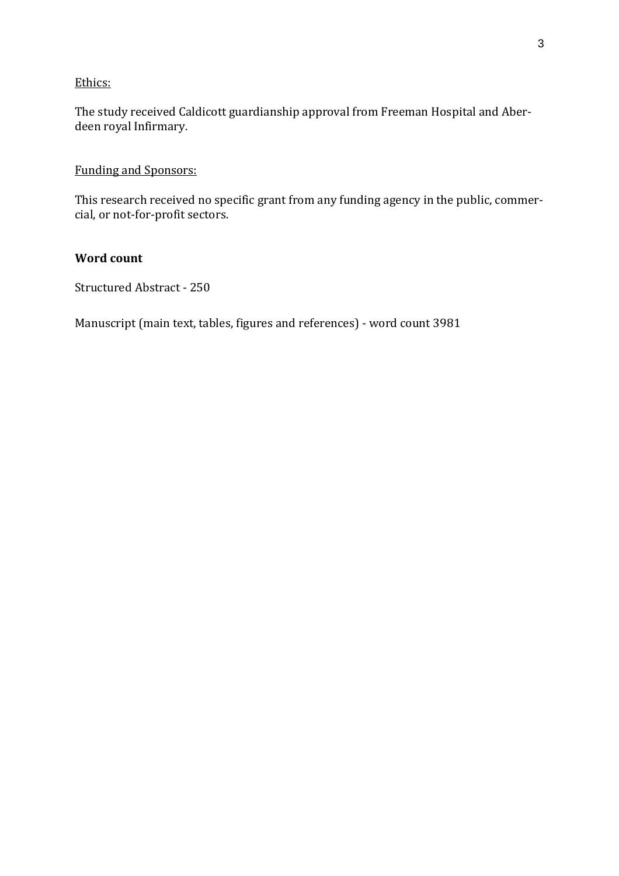# Ethics:

The study received Caldicott guardianship approval from Freeman Hospital and Aberdeen royal Infirmary.

Funding and Sponsors:

This research received no specific grant from any funding agency in the public, commercial, or not-for-profit sectors.

# **Word count**

Structured Abstract - 250

Manuscript (main text, tables, figures and references) - word count 3981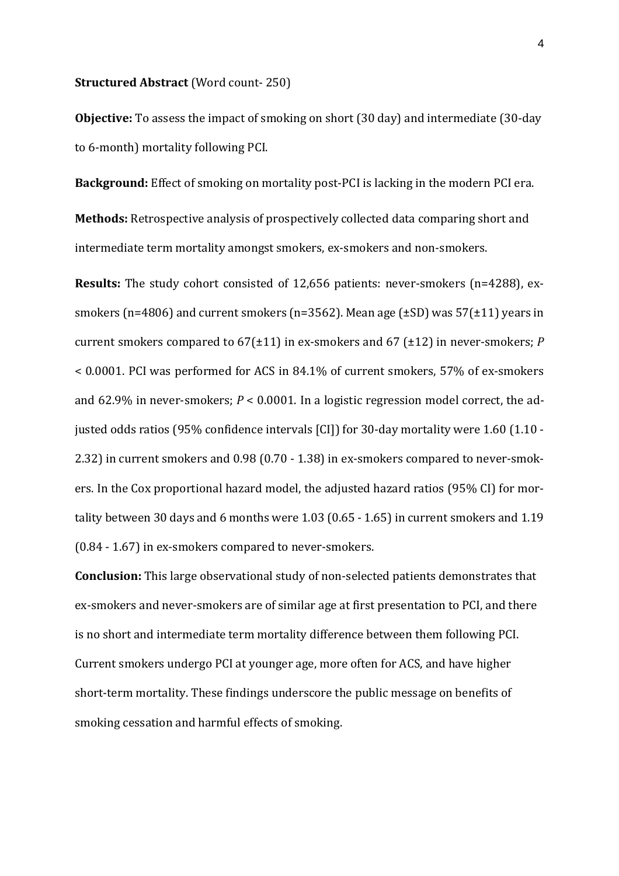#### **Structured Abstract** (Word count- 250)

**Objective:** To assess the impact of smoking on short (30 day) and intermediate (30-day to 6-month) mortality following PCI.

**Background:** Effect of smoking on mortality post-PCI is lacking in the modern PCI era.

**Methods:** Retrospective analysis of prospectively collected data comparing short and intermediate term mortality amongst smokers, ex-smokers and non-smokers.

**Results:** The study cohort consisted of 12,656 patients: never-smokers (n=4288), exsmokers (n=4806) and current smokers (n=3562). Mean age ( $\pm$ SD) was 57( $\pm$ 11) years in current smokers compared to 67(±11) in ex-smokers and 67 (±12) in never-smokers; *P* < 0.0001. PCI was performed for ACS in 84.1% of current smokers, 57% of ex-smokers and 62.9% in never-smokers; *P* < 0.0001. In a logistic regression model correct, the adjusted odds ratios (95% confidence intervals [CI]) for 30-day mortality were 1.60 (1.10 - 2.32) in current smokers and 0.98 (0.70 - 1.38) in ex-smokers compared to never-smokers. In the Cox proportional hazard model, the adjusted hazard ratios (95% CI) for mortality between 30 days and 6 months were 1.03 (0.65 - 1.65) in current smokers and 1.19 (0.84 - 1.67) in ex-smokers compared to never-smokers.

**Conclusion:** This large observational study of non-selected patients demonstrates that ex-smokers and never-smokers are of similar age at first presentation to PCI, and there is no short and intermediate term mortality difference between them following PCI. Current smokers undergo PCI at younger age, more often for ACS, and have higher short-term mortality. These findings underscore the public message on benefits of smoking cessation and harmful effects of smoking.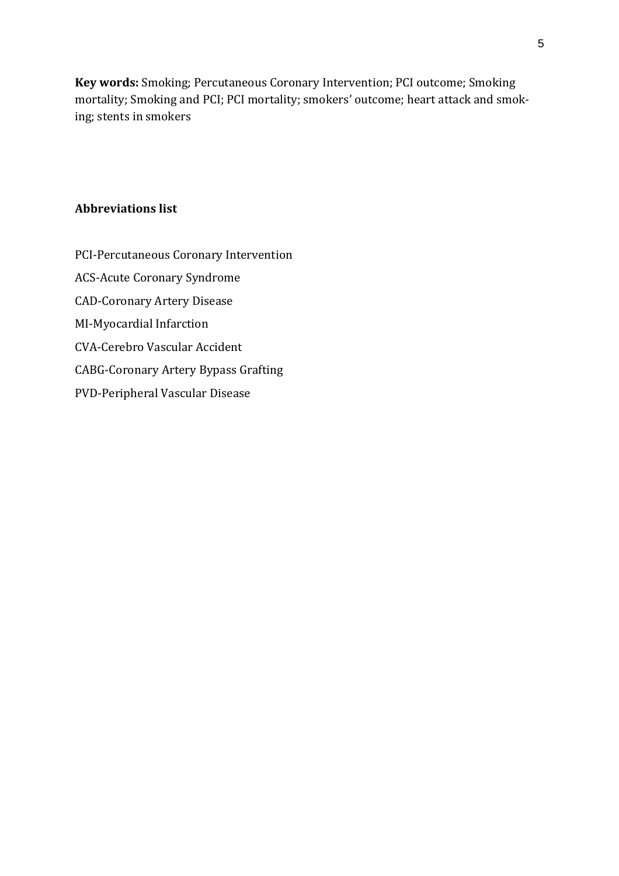**Key words:** Smoking; Percutaneous Coronary Intervention; PCI outcome; Smoking mortality; Smoking and PCI; PCI mortality; smokers' outcome; heart attack and smoking; stents in smokers

# **Abbreviations list**

- PCI-Percutaneous Coronary Intervention
- ACS-Acute Coronary Syndrome
- CAD-Coronary Artery Disease
- MI-Myocardial Infarction
- CVA-Cerebro Vascular Accident
- CABG-Coronary Artery Bypass Grafting
- PVD-Peripheral Vascular Disease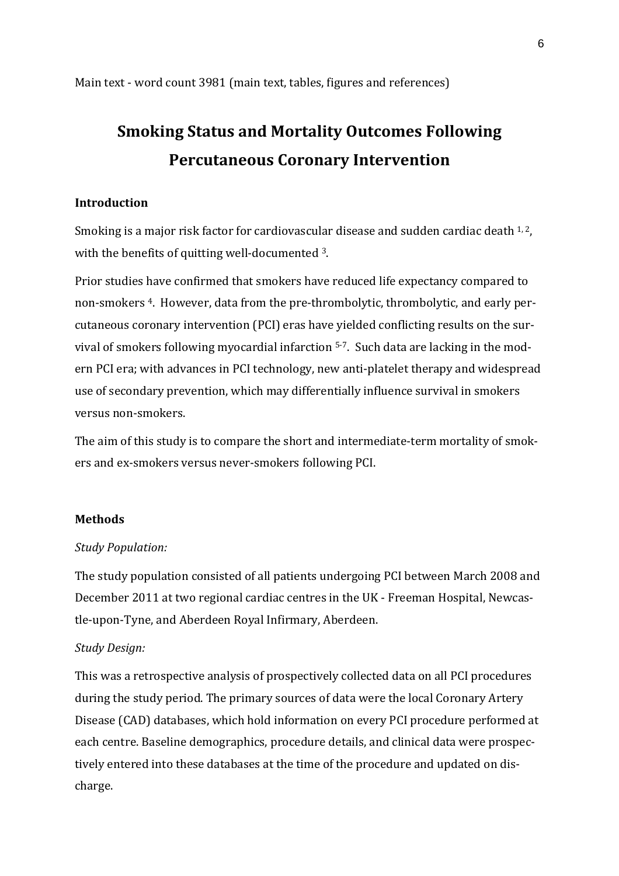Main text - word count 3981 (main text, tables, figures and references)

# **Smoking Status and Mortality Outcomes Following Percutaneous Coronary Intervention**

# **Introduction**

Smoking is a major risk factor for cardiovascular disease and sudden cardiac death  $1, 2$ , with the benefits of quitting well-documented 3.

Prior studies have confirmed that smokers have reduced life expectancy compared to non-smokers <sup>4</sup>. However, data from the pre-thrombolytic, thrombolytic, and early percutaneous coronary intervention (PCI) eras have yielded conflicting results on the survival of smokers following myocardial infarction 5-7. Such data are lacking in the modern PCI era; with advances in PCI technology, new anti-platelet therapy and widespread use of secondary prevention, which may differentially influence survival in smokers versus non-smokers.

The aim of this study is to compare the short and intermediate-term mortality of smokers and ex-smokers versus never-smokers following PCI.

# **Methods**

# *Study Population:*

The study population consisted of all patients undergoing PCI between March 2008 and December 2011 at two regional cardiac centres in the UK - Freeman Hospital, Newcastle-upon-Tyne, and Aberdeen Royal Infirmary, Aberdeen.

# *Study Design:*

This was a retrospective analysis of prospectively collected data on all PCI procedures during the study period. The primary sources of data were the local Coronary Artery Disease (CAD) databases, which hold information on every PCI procedure performed at each centre. Baseline demographics, procedure details, and clinical data were prospectively entered into these databases at the time of the procedure and updated on discharge.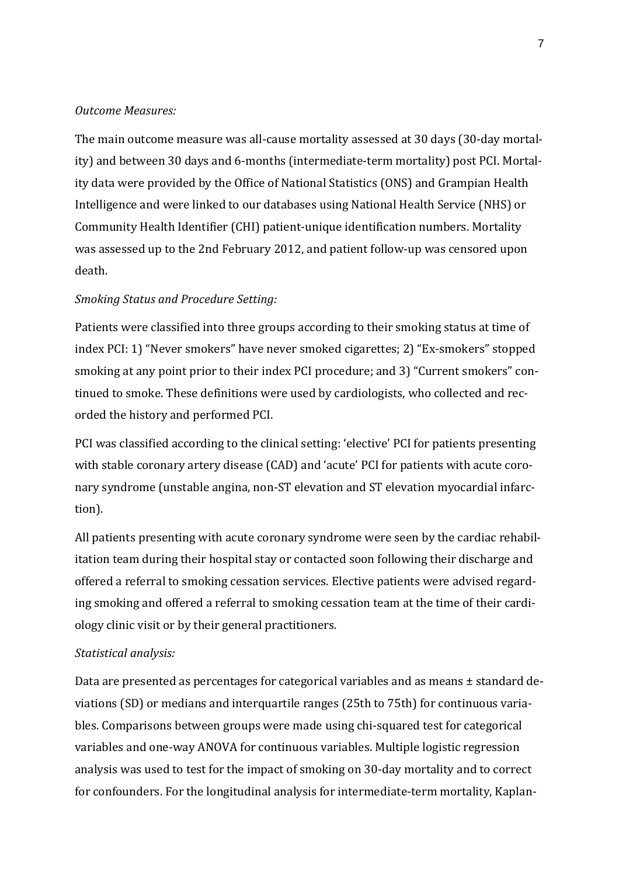# *Outcome Measures:*

The main outcome measure was all-cause mortality assessed at 30 days (30-day mortality) and between 30 days and 6-months (intermediate-term mortality) post PCI. Mortality data were provided by the Office of National Statistics (ONS) and Grampian Health Intelligence and were linked to our databases using National Health Service (NHS) or Community Health Identifier (CHI) patient-unique identification numbers. Mortality was assessed up to the 2nd February 2012, and patient follow-up was censored upon death.

#### *Smoking Status and Procedure Setting:*

Patients were classified into three groups according to their smoking status at time of index PCI: 1) "Never smokers" have never smoked cigarettes; 2) "Ex-smokers" stopped smoking at any point prior to their index PCI procedure; and 3) "Current smokers" continued to smoke. These definitions were used by cardiologists, who collected and recorded the history and performed PCI.

PCI was classified according to the clinical setting: 'elective' PCI for patients presenting with stable coronary artery disease (CAD) and 'acute' PCI for patients with acute coronary syndrome (unstable angina, non-ST elevation and ST elevation myocardial infarction).

All patients presenting with acute coronary syndrome were seen by the cardiac rehabilitation team during their hospital stay or contacted soon following their discharge and offered a referral to smoking cessation services. Elective patients were advised regarding smoking and offered a referral to smoking cessation team at the time of their cardiology clinic visit or by their general practitioners.

#### *Statistical analysis:*

Data are presented as percentages for categorical variables and as means ± standard deviations (SD) or medians and interquartile ranges (25th to 75th) for continuous variables. Comparisons between groups were made using chi-squared test for categorical variables and one-way ANOVA for continuous variables. Multiple logistic regression analysis was used to test for the impact of smoking on 30-day mortality and to correct for confounders. For the longitudinal analysis for intermediate-term mortality, Kaplan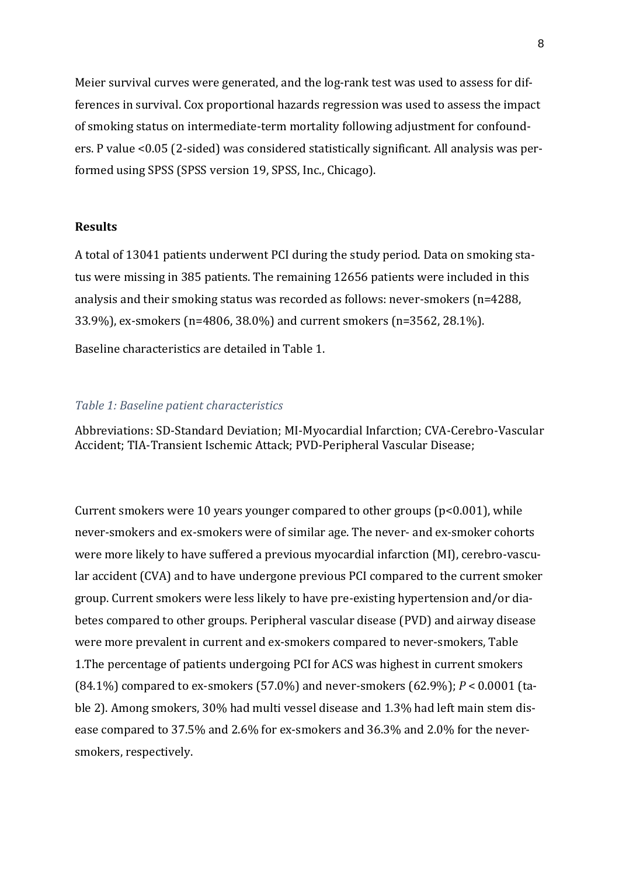Meier survival curves were generated, and the log-rank test was used to assess for differences in survival. Cox proportional hazards regression was used to assess the impact of smoking status on intermediate-term mortality following adjustment for confounders. P value <0.05 (2-sided) was considered statistically significant. All analysis was performed using SPSS (SPSS version 19, SPSS, Inc., Chicago).

# **Results**

A total of 13041 patients underwent PCI during the study period. Data on smoking status were missing in 385 patients. The remaining 12656 patients were included in this analysis and their smoking status was recorded as follows: never-smokers (n=4288, 33.9%), ex-smokers (n=4806, 38.0%) and current smokers (n=3562, 28.1%).

Baseline characteristics are detailed in Table 1.

# *Table 1: Baseline patient characteristics*

Abbreviations: SD-Standard Deviation; MI-Myocardial Infarction; CVA-Cerebro-Vascular Accident; TIA-Transient Ischemic Attack; PVD-Peripheral Vascular Disease;

Current smokers were 10 years younger compared to other groups (p<0.001), while never-smokers and ex-smokers were of similar age. The never- and ex-smoker cohorts were more likely to have suffered a previous myocardial infarction (MI), cerebro-vascular accident (CVA) and to have undergone previous PCI compared to the current smoker group. Current smokers were less likely to have pre-existing hypertension and/or diabetes compared to other groups. Peripheral vascular disease (PVD) and airway disease were more prevalent in current and ex-smokers compared to never-smokers, Table 1.The percentage of patients undergoing PCI for ACS was highest in current smokers (84.1%) compared to ex-smokers (57.0%) and never-smokers (62.9%); *P* < 0.0001 (table 2). Among smokers, 30% had multi vessel disease and 1.3% had left main stem disease compared to 37.5% and 2.6% for ex-smokers and 36.3% and 2.0% for the neversmokers, respectively.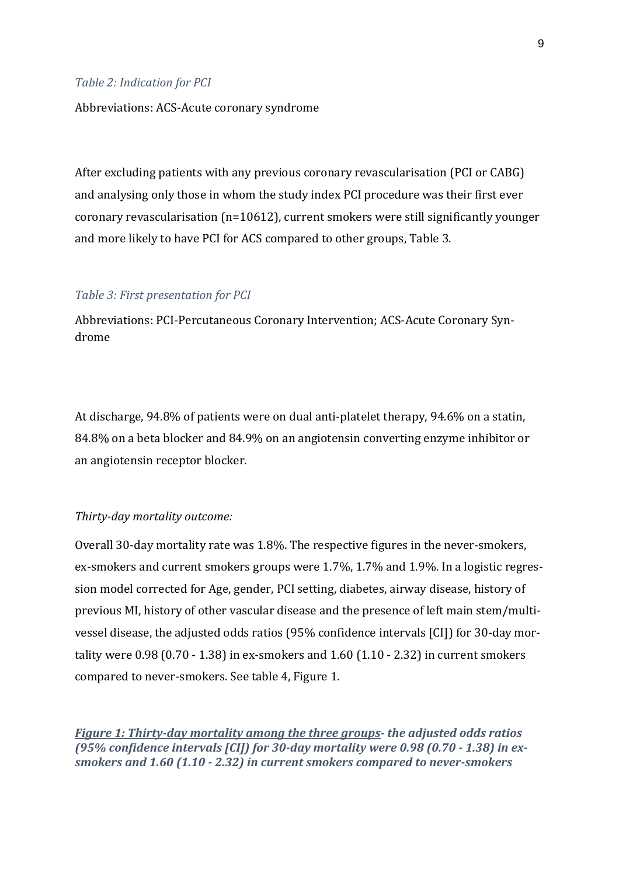#### *Table 2: Indication for PCI*

#### Abbreviations: ACS-Acute coronary syndrome

After excluding patients with any previous coronary revascularisation (PCI or CABG) and analysing only those in whom the study index PCI procedure was their first ever coronary revascularisation (n=10612), current smokers were still significantly younger and more likely to have PCI for ACS compared to other groups, Table 3.

#### *Table 3: First presentation for PCI*

Abbreviations: PCI-Percutaneous Coronary Intervention; ACS-Acute Coronary Syndrome

At discharge, 94.8% of patients were on dual anti-platelet therapy, 94.6% on a statin, 84.8% on a beta blocker and 84.9% on an angiotensin converting enzyme inhibitor or an angiotensin receptor blocker.

#### *Thirty-day mortality outcome:*

Overall 30-day mortality rate was 1.8%. The respective figures in the never-smokers, ex-smokers and current smokers groups were 1.7%, 1.7% and 1.9%. In a logistic regression model corrected for Age, gender, PCI setting, diabetes, airway disease, history of previous MI, history of other vascular disease and the presence of left main stem/multivessel disease, the adjusted odds ratios (95% confidence intervals [CI]) for 30-day mortality were 0.98 (0.70 - 1.38) in ex-smokers and 1.60 (1.10 - 2.32) in current smokers compared to never-smokers. See table 4, Figure 1.

*Figure 1: Thirty-day mortality among the three groups- the adjusted odds ratios (95% confidence intervals [CI]) for 30-day mortality were 0.98 (0.70 - 1.38) in exsmokers and 1.60 (1.10 - 2.32) in current smokers compared to never-smokers*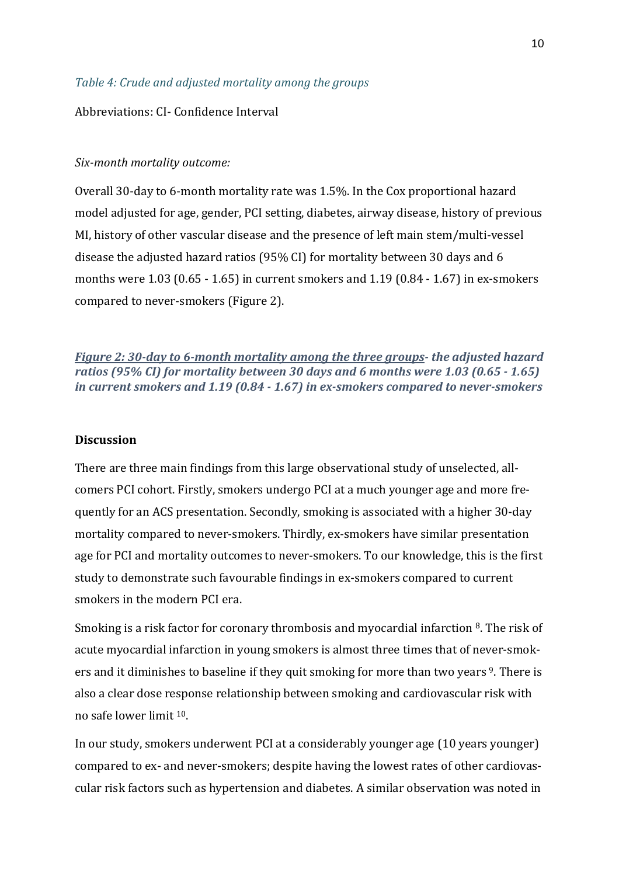#### *Table 4: Crude and adjusted mortality among the groups*

#### Abbreviations: CI- Confidence Interval

#### *Six-month mortality outcome:*

Overall 30-day to 6-month mortality rate was 1.5%. In the Cox proportional hazard model adjusted for age, gender, PCI setting, diabetes, airway disease, history of previous MI, history of other vascular disease and the presence of left main stem/multi-vessel disease the adjusted hazard ratios (95% CI) for mortality between 30 days and 6 months were 1.03 (0.65 - 1.65) in current smokers and 1.19 (0.84 - 1.67) in ex-smokers compared to never-smokers (Figure 2).

*Figure 2: 30-day to 6-month mortality among the three groups- the adjusted hazard ratios (95% CI) for mortality between 30 days and 6 months were 1.03 (0.65 - 1.65) in current smokers and 1.19 (0.84 - 1.67) in ex-smokers compared to never-smokers*

#### **Discussion**

There are three main findings from this large observational study of unselected, allcomers PCI cohort. Firstly, smokers undergo PCI at a much younger age and more frequently for an ACS presentation. Secondly, smoking is associated with a higher 30-day mortality compared to never-smokers. Thirdly, ex-smokers have similar presentation age for PCI and mortality outcomes to never-smokers. To our knowledge, this is the first study to demonstrate such favourable findings in ex-smokers compared to current smokers in the modern PCI era.

Smoking is a risk factor for coronary thrombosis and myocardial infarction <sup>8</sup>. The risk of acute myocardial infarction in young smokers is almost three times that of never-smokers and it diminishes to baseline if they quit smoking for more than two years <sup>9</sup>. There is also a clear dose response relationship between smoking and cardiovascular risk with no safe lower limit <sup>10</sup>.

In our study, smokers underwent PCI at a considerably younger age (10 years younger) compared to ex- and never-smokers; despite having the lowest rates of other cardiovascular risk factors such as hypertension and diabetes. A similar observation was noted in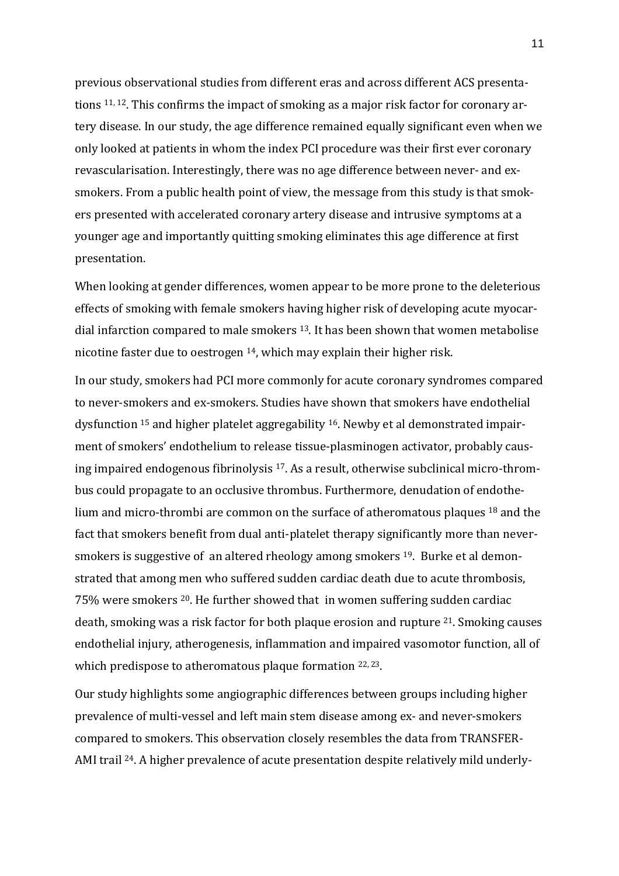previous observational studies from different eras and across different ACS presentations 11, <sup>12</sup>. This confirms the impact of smoking as a major risk factor for coronary artery disease. In our study, the age difference remained equally significant even when we only looked at patients in whom the index PCI procedure was their first ever coronary revascularisation. Interestingly, there was no age difference between never- and exsmokers. From a public health point of view, the message from this study is that smokers presented with accelerated coronary artery disease and intrusive symptoms at a younger age and importantly quitting smoking eliminates this age difference at first presentation.

When looking at gender differences, women appear to be more prone to the deleterious effects of smoking with female smokers having higher risk of developing acute myocardial infarction compared to male smokers <sup>13</sup>. It has been shown that women metabolise nicotine faster due to oestrogen <sup>14</sup>, which may explain their higher risk.

In our study, smokers had PCI more commonly for acute coronary syndromes compared to never-smokers and ex-smokers. Studies have shown that smokers have endothelial dysfunction <sup>15</sup> and higher platelet aggregability <sup>16</sup>. Newby et al demonstrated impairment of smokers' endothelium to release tissue-plasminogen activator, probably causing impaired endogenous fibrinolysis <sup>17</sup>. As a result, otherwise subclinical micro-thrombus could propagate to an occlusive thrombus. Furthermore, denudation of endothelium and micro-thrombi are common on the surface of atheromatous plaques <sup>18</sup> and the fact that smokers benefit from dual anti-platelet therapy significantly more than neversmokers is suggestive of an altered rheology among smokers <sup>19</sup>. Burke et al demonstrated that among men who suffered sudden cardiac death due to acute thrombosis, 75% were smokers <sup>20</sup>. He further showed that in women suffering sudden cardiac death, smoking was a risk factor for both plaque erosion and rupture <sup>21</sup>. Smoking causes endothelial injury, atherogenesis, inflammation and impaired vasomotor function, all of which predispose to atheromatous plaque formation <sup>22, 23</sup>.

Our study highlights some angiographic differences between groups including higher prevalence of multi-vessel and left main stem disease among ex- and never-smokers compared to smokers. This observation closely resembles the data from TRANSFER-AMI trail <sup>24</sup>. A higher prevalence of acute presentation despite relatively mild underly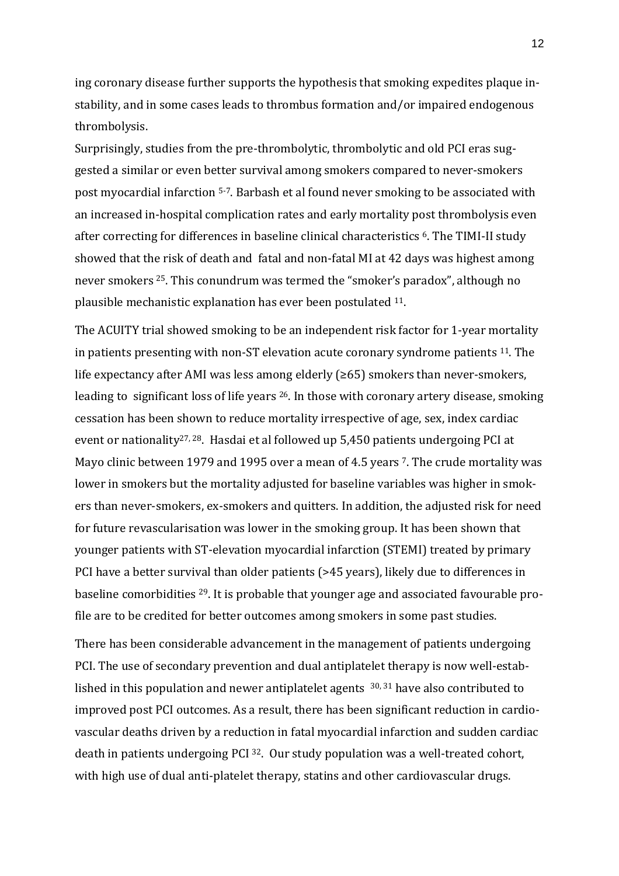ing coronary disease further supports the hypothesis that smoking expedites plaque instability, and in some cases leads to thrombus formation and/or impaired endogenous thrombolysis.

Surprisingly, studies from the pre-thrombolytic, thrombolytic and old PCI eras suggested a similar or even better survival among smokers compared to never-smokers post myocardial infarction 5-7. Barbash et al found never smoking to be associated with an increased in-hospital complication rates and early mortality post thrombolysis even after correcting for differences in baseline clinical characteristics <sup>6</sup>. The TIMI-II study showed that the risk of death and fatal and non-fatal MI at 42 days was highest among never smokers <sup>25</sup>. This conundrum was termed the "smoker's paradox", although no plausible mechanistic explanation has ever been postulated <sup>11</sup>.

The ACUITY trial showed smoking to be an independent risk factor for 1-year mortality in patients presenting with non-ST elevation acute coronary syndrome patients <sup>11</sup>. The life expectancy after AMI was less among elderly (≥65) smokers than never-smokers, leading to significant loss of life years <sup>26</sup>. In those with coronary artery disease, smoking cessation has been shown to reduce mortality irrespective of age, sex, index cardiac event or nationality27, <sup>28</sup>. Hasdai et al followed up 5,450 patients undergoing PCI at Mayo clinic between 1979 and 1995 over a mean of 4.5 years <sup>7</sup>. The crude mortality was lower in smokers but the mortality adjusted for baseline variables was higher in smokers than never-smokers, ex-smokers and quitters. In addition, the adjusted risk for need for future revascularisation was lower in the smoking group. It has been shown that younger patients with ST-elevation myocardial infarction (STEMI) treated by primary PCI have a better survival than older patients (>45 years), likely due to differences in baseline comorbidities <sup>29</sup>. It is probable that younger age and associated favourable profile are to be credited for better outcomes among smokers in some past studies.

There has been considerable advancement in the management of patients undergoing PCI. The use of secondary prevention and dual antiplatelet therapy is now well-established in this population and newer antiplatelet agents <sup>30, 31</sup> have also contributed to improved post PCI outcomes. As a result, there has been significant reduction in cardiovascular deaths driven by a reduction in fatal myocardial infarction and sudden cardiac death in patients undergoing PCI <sup>32</sup>. Our study population was a well-treated cohort, with high use of dual anti-platelet therapy, statins and other cardiovascular drugs.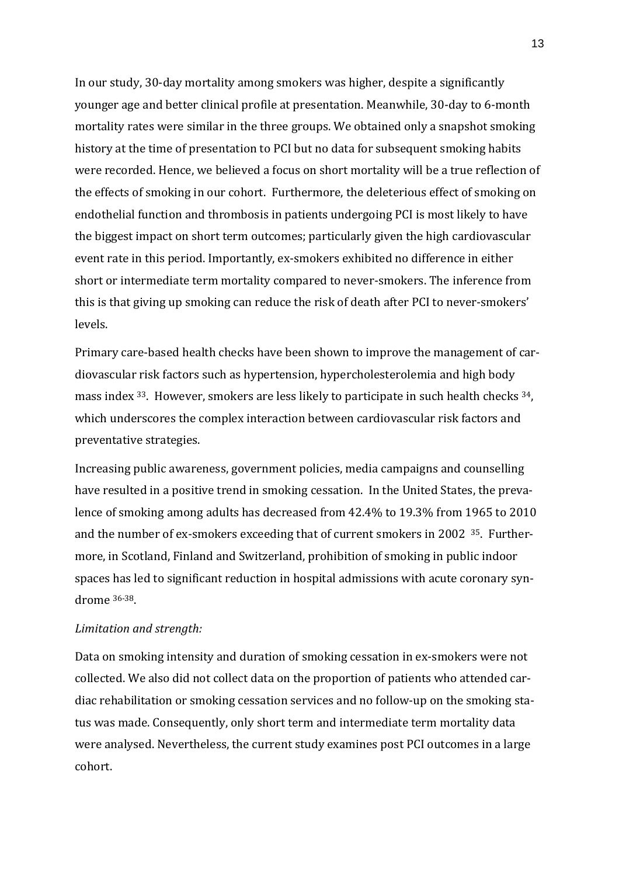In our study, 30-day mortality among smokers was higher, despite a significantly younger age and better clinical profile at presentation. Meanwhile, 30-day to 6-month mortality rates were similar in the three groups. We obtained only a snapshot smoking history at the time of presentation to PCI but no data for subsequent smoking habits were recorded. Hence, we believed a focus on short mortality will be a true reflection of the effects of smoking in our cohort. Furthermore, the deleterious effect of smoking on endothelial function and thrombosis in patients undergoing PCI is most likely to have the biggest impact on short term outcomes; particularly given the high cardiovascular event rate in this period. Importantly, ex-smokers exhibited no difference in either short or intermediate term mortality compared to never-smokers. The inference from this is that giving up smoking can reduce the risk of death after PCI to never-smokers' levels.

Primary care-based health checks have been shown to improve the management of cardiovascular risk factors such as hypertension, hypercholesterolemia and high body mass index 33. However, smokers are less likely to participate in such health checks 34, which underscores the complex interaction between cardiovascular risk factors and preventative strategies.

Increasing public awareness, government policies, media campaigns and counselling have resulted in a positive trend in smoking cessation. In the United States, the prevalence of smoking among adults has decreased from 42.4% to 19.3% from 1965 to 2010 and the number of ex-smokers exceeding that of current smokers in 2002 <sup>35</sup>. Furthermore, in Scotland, Finland and Switzerland, prohibition of smoking in public indoor spaces has led to significant reduction in hospital admissions with acute coronary syndrome 36-38.

# *Limitation and strength:*

Data on smoking intensity and duration of smoking cessation in ex-smokers were not collected. We also did not collect data on the proportion of patients who attended cardiac rehabilitation or smoking cessation services and no follow-up on the smoking status was made. Consequently, only short term and intermediate term mortality data were analysed. Nevertheless, the current study examines post PCI outcomes in a large cohort.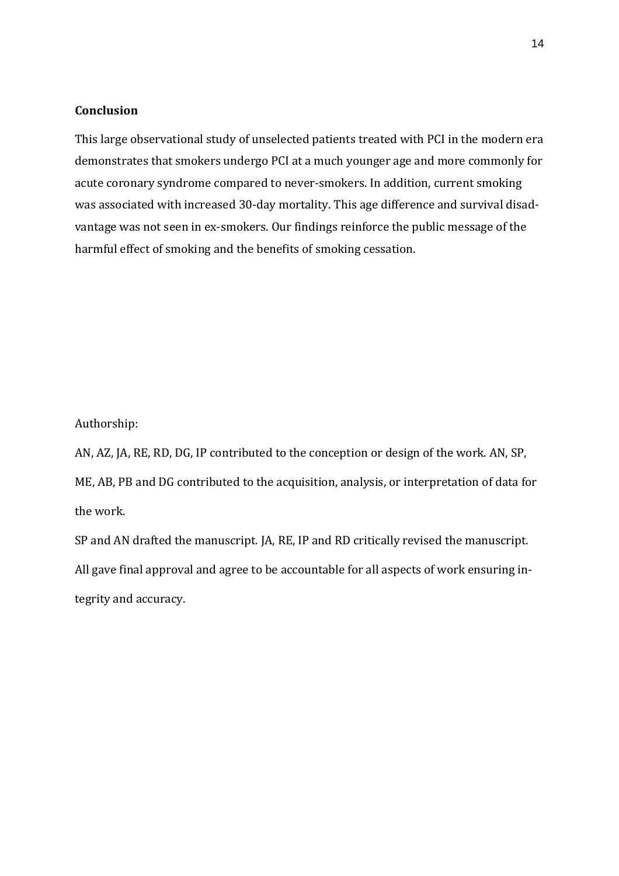# **Conclusion**

This large observational study of unselected patients treated with PCI in the modern era demonstrates that smokers undergo PCI at a much younger age and more commonly for acute coronary syndrome compared to never-smokers. In addition, current smoking was associated with increased 30-day mortality. This age difference and survival disadvantage was not seen in ex-smokers. Our findings reinforce the public message of the harmful effect of smoking and the benefits of smoking cessation.

Authorship:

AN, AZ, JA, RE, RD, DG, IP contributed to the conception or design of the work. AN, SP, ME, AB, PB and DG contributed to the acquisition, analysis, or interpretation of data for the work.

SP and AN drafted the manuscript. JA, RE, IP and RD critically revised the manuscript. All gave final approval and agree to be accountable for all aspects of work ensuring integrity and accuracy.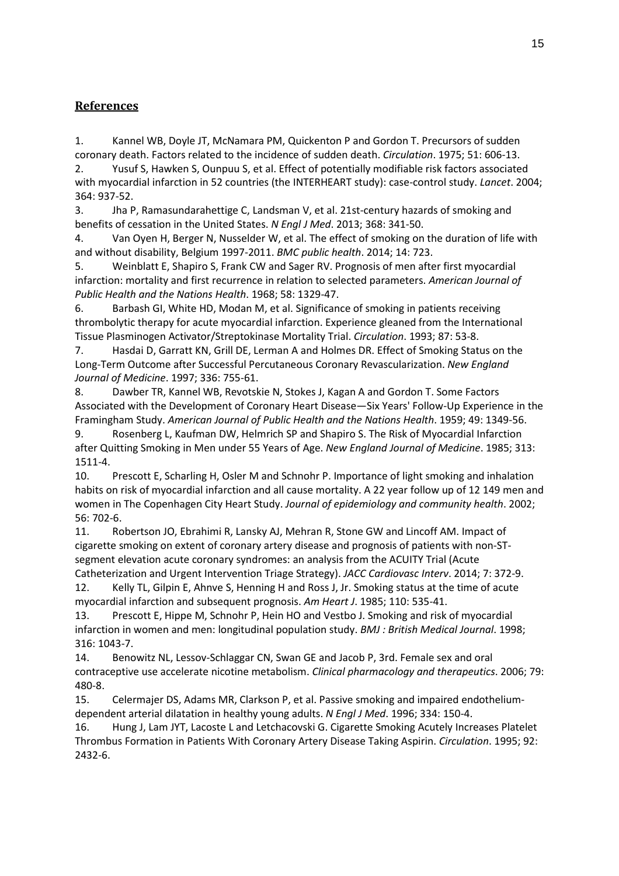# **References**

1. Kannel WB, Doyle JT, McNamara PM, Quickenton P and Gordon T. Precursors of sudden coronary death. Factors related to the incidence of sudden death. *Circulation*. 1975; 51: 606-13.

2. Yusuf S, Hawken S, Ounpuu S, et al. Effect of potentially modifiable risk factors associated with myocardial infarction in 52 countries (the INTERHEART study): case-control study. *Lancet*. 2004; 364: 937-52.

3. Jha P, Ramasundarahettige C, Landsman V, et al. 21st-century hazards of smoking and benefits of cessation in the United States. *N Engl J Med*. 2013; 368: 341-50.

4. Van Oyen H, Berger N, Nusselder W, et al. The effect of smoking on the duration of life with and without disability, Belgium 1997-2011. *BMC public health*. 2014; 14: 723.

5. Weinblatt E, Shapiro S, Frank CW and Sager RV. Prognosis of men after first myocardial infarction: mortality and first recurrence in relation to selected parameters. *American Journal of Public Health and the Nations Health*. 1968; 58: 1329-47.

6. Barbash GI, White HD, Modan M, et al. Significance of smoking in patients receiving thrombolytic therapy for acute myocardial infarction. Experience gleaned from the International Tissue Plasminogen Activator/Streptokinase Mortality Trial. *Circulation*. 1993; 87: 53-8.

7. Hasdai D, Garratt KN, Grill DE, Lerman A and Holmes DR. Effect of Smoking Status on the Long-Term Outcome after Successful Percutaneous Coronary Revascularization. *New England Journal of Medicine*. 1997; 336: 755-61.

8. Dawber TR, Kannel WB, Revotskie N, Stokes J, Kagan A and Gordon T. Some Factors Associated with the Development of Coronary Heart Disease—Six Years' Follow-Up Experience in the Framingham Study. *American Journal of Public Health and the Nations Health*. 1959; 49: 1349-56.

9. Rosenberg L, Kaufman DW, Helmrich SP and Shapiro S. The Risk of Myocardial Infarction after Quitting Smoking in Men under 55 Years of Age. *New England Journal of Medicine*. 1985; 313: 1511-4.

10. Prescott E, Scharling H, Osler M and Schnohr P. Importance of light smoking and inhalation habits on risk of myocardial infarction and all cause mortality. A 22 year follow up of 12 149 men and women in The Copenhagen City Heart Study. *Journal of epidemiology and community health*. 2002; 56: 702-6.

11. Robertson JO, Ebrahimi R, Lansky AJ, Mehran R, Stone GW and Lincoff AM. Impact of cigarette smoking on extent of coronary artery disease and prognosis of patients with non-STsegment elevation acute coronary syndromes: an analysis from the ACUITY Trial (Acute Catheterization and Urgent Intervention Triage Strategy). *JACC Cardiovasc Interv*. 2014; 7: 372-9.

12. Kelly TL, Gilpin E, Ahnve S, Henning H and Ross J, Jr. Smoking status at the time of acute myocardial infarction and subsequent prognosis. *Am Heart J*. 1985; 110: 535-41.

13. Prescott E, Hippe M, Schnohr P, Hein HO and Vestbo J. Smoking and risk of myocardial infarction in women and men: longitudinal population study. *BMJ : British Medical Journal*. 1998; 316: 1043-7.

14. Benowitz NL, Lessov-Schlaggar CN, Swan GE and Jacob P, 3rd. Female sex and oral contraceptive use accelerate nicotine metabolism. *Clinical pharmacology and therapeutics*. 2006; 79: 480-8.

15. Celermajer DS, Adams MR, Clarkson P, et al. Passive smoking and impaired endotheliumdependent arterial dilatation in healthy young adults. *N Engl J Med*. 1996; 334: 150-4.

16. Hung J, Lam JYT, Lacoste L and Letchacovski G. Cigarette Smoking Acutely Increases Platelet Thrombus Formation in Patients With Coronary Artery Disease Taking Aspirin. *Circulation*. 1995; 92: 2432-6.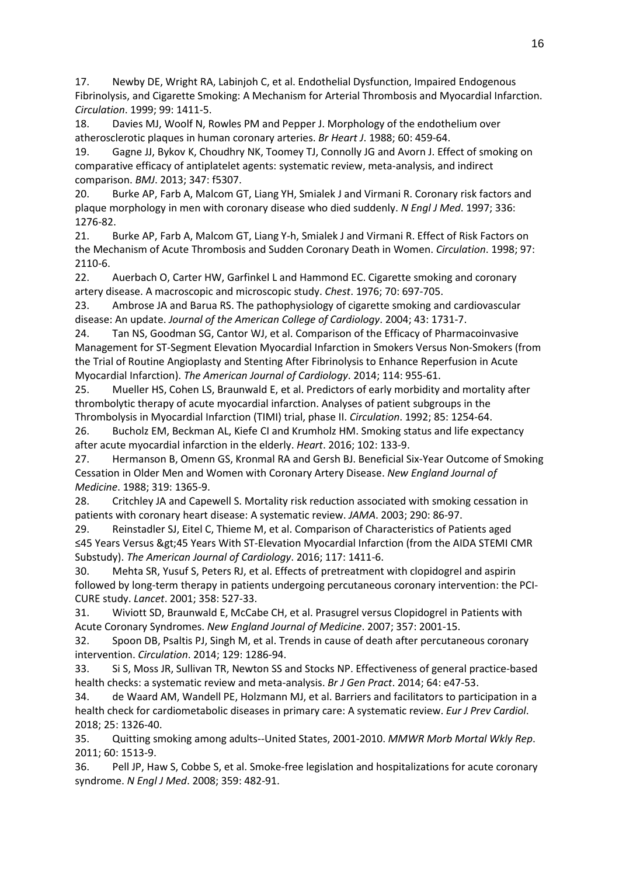17. Newby DE, Wright RA, Labinjoh C, et al. Endothelial Dysfunction, Impaired Endogenous Fibrinolysis, and Cigarette Smoking: A Mechanism for Arterial Thrombosis and Myocardial Infarction. *Circulation*. 1999; 99: 1411-5.

18. Davies MJ, Woolf N, Rowles PM and Pepper J. Morphology of the endothelium over atherosclerotic plaques in human coronary arteries. *Br Heart J*. 1988; 60: 459-64.

19. Gagne JJ, Bykov K, Choudhry NK, Toomey TJ, Connolly JG and Avorn J. Effect of smoking on comparative efficacy of antiplatelet agents: systematic review, meta-analysis, and indirect comparison. *BMJ*. 2013; 347: f5307.

20. Burke AP, Farb A, Malcom GT, Liang YH, Smialek J and Virmani R. Coronary risk factors and plaque morphology in men with coronary disease who died suddenly. *N Engl J Med*. 1997; 336: 1276-82.

21. Burke AP, Farb A, Malcom GT, Liang Y-h, Smialek J and Virmani R. Effect of Risk Factors on the Mechanism of Acute Thrombosis and Sudden Coronary Death in Women. *Circulation*. 1998; 97: 2110-6.

22. Auerbach O, Carter HW, Garfinkel L and Hammond EC. Cigarette smoking and coronary artery disease. A macroscopic and microscopic study. *Chest*. 1976; 70: 697-705.

23. Ambrose JA and Barua RS. The pathophysiology of cigarette smoking and cardiovascular disease: An update. *Journal of the American College of Cardiology*. 2004; 43: 1731-7.

24. Tan NS, Goodman SG, Cantor WJ, et al. Comparison of the Efficacy of Pharmacoinvasive Management for ST-Segment Elevation Myocardial Infarction in Smokers Versus Non-Smokers (from the Trial of Routine Angioplasty and Stenting After Fibrinolysis to Enhance Reperfusion in Acute Myocardial Infarction). *The American Journal of Cardiology*. 2014; 114: 955-61.

25. Mueller HS, Cohen LS, Braunwald E, et al. Predictors of early morbidity and mortality after thrombolytic therapy of acute myocardial infarction. Analyses of patient subgroups in the Thrombolysis in Myocardial Infarction (TIMI) trial, phase II. *Circulation*. 1992; 85: 1254-64.

26. Bucholz EM, Beckman AL, Kiefe CI and Krumholz HM. Smoking status and life expectancy after acute myocardial infarction in the elderly. *Heart*. 2016; 102: 133-9.

27. Hermanson B, Omenn GS, Kronmal RA and Gersh BJ. Beneficial Six-Year Outcome of Smoking Cessation in Older Men and Women with Coronary Artery Disease. *New England Journal of Medicine*. 1988; 319: 1365-9.

28. Critchley JA and Capewell S. Mortality risk reduction associated with smoking cessation in patients with coronary heart disease: A systematic review. *JAMA*. 2003; 290: 86-97.

29. Reinstadler SJ, Eitel C, Thieme M, et al. Comparison of Characteristics of Patients aged ≤45 Years Versus >45 Years With ST-Elevation Myocardial Infarction (from the AIDA STEMI CMR Substudy). *The American Journal of Cardiology*. 2016; 117: 1411-6.

30. Mehta SR, Yusuf S, Peters RJ, et al. Effects of pretreatment with clopidogrel and aspirin followed by long-term therapy in patients undergoing percutaneous coronary intervention: the PCI-CURE study. *Lancet*. 2001; 358: 527-33.

31. Wiviott SD, Braunwald E, McCabe CH, et al. Prasugrel versus Clopidogrel in Patients with Acute Coronary Syndromes. *New England Journal of Medicine*. 2007; 357: 2001-15.

32. Spoon DB, Psaltis PJ, Singh M, et al. Trends in cause of death after percutaneous coronary intervention. *Circulation*. 2014; 129: 1286-94.

33. Si S, Moss JR, Sullivan TR, Newton SS and Stocks NP. Effectiveness of general practice-based health checks: a systematic review and meta-analysis. *Br J Gen Pract*. 2014; 64: e47-53.

34. de Waard AM, Wandell PE, Holzmann MJ, et al. Barriers and facilitators to participation in a health check for cardiometabolic diseases in primary care: A systematic review. *Eur J Prev Cardiol*. 2018; 25: 1326-40.

35. Quitting smoking among adults--United States, 2001-2010. *MMWR Morb Mortal Wkly Rep*. 2011; 60: 1513-9.

36. Pell JP, Haw S, Cobbe S, et al. Smoke-free legislation and hospitalizations for acute coronary syndrome. *N Engl J Med*. 2008; 359: 482-91.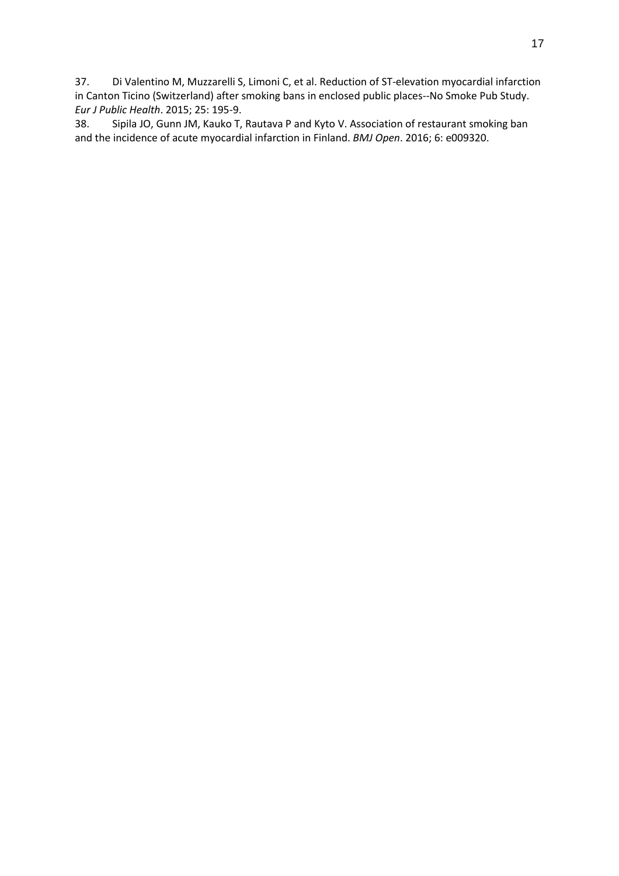37. Di Valentino M, Muzzarelli S, Limoni C, et al. Reduction of ST-elevation myocardial infarction in Canton Ticino (Switzerland) after smoking bans in enclosed public places--No Smoke Pub Study. *Eur J Public Health*. 2015; 25: 195-9.

38. Sipila JO, Gunn JM, Kauko T, Rautava P and Kyto V. Association of restaurant smoking ban and the incidence of acute myocardial infarction in Finland. *BMJ Open*. 2016; 6: e009320.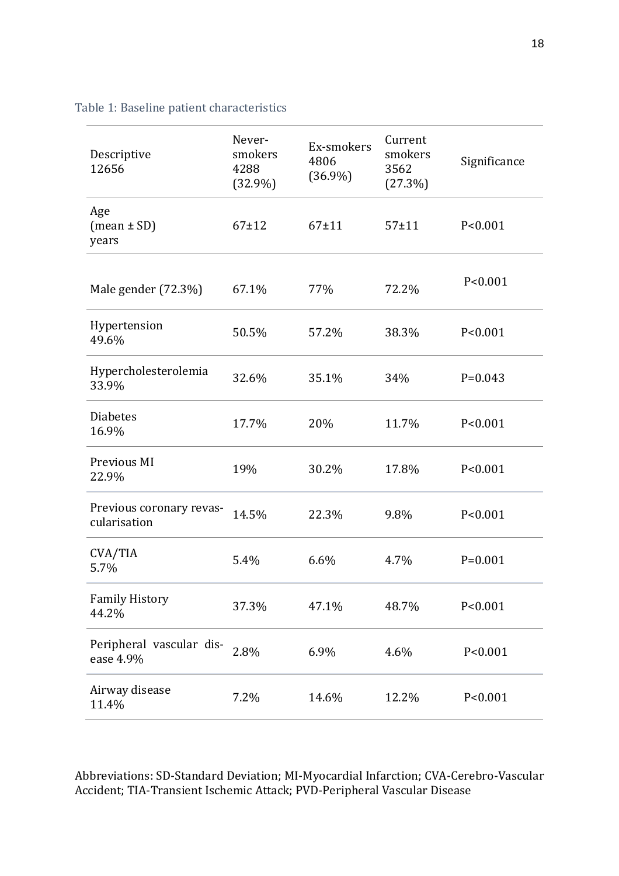| Descriptive<br>12656                     | Never-<br>smokers<br>4288<br>$(32.9\%)$ | Ex-smokers<br>4806<br>$(36.9\%)$ | Current<br>smokers<br>3562<br>(27.3%) | Significance |
|------------------------------------------|-----------------------------------------|----------------------------------|---------------------------------------|--------------|
| Age<br>$(mean \pm SD)$<br>years          | $67+12$                                 | $67 \pm 11$                      | $57 + 11$                             | P < 0.001    |
| Male gender $(72.3\%)$                   | 67.1%                                   | 77%                              | 72.2%                                 | P < 0.001    |
| Hypertension<br>49.6%                    | 50.5%                                   | 57.2%                            | 38.3%                                 | P < 0.001    |
| Hypercholesterolemia<br>33.9%            | 32.6%                                   | 35.1%                            | 34%                                   | $P = 0.043$  |
| <b>Diabetes</b><br>16.9%                 | 17.7%                                   | 20%                              | 11.7%                                 | P < 0.001    |
| Previous MI<br>22.9%                     | 19%                                     | 30.2%                            | 17.8%                                 | P < 0.001    |
| Previous coronary revas-<br>cularisation | 14.5%                                   | 22.3%                            | 9.8%                                  | P < 0.001    |
| CVA/TIA<br>5.7%                          | 5.4%                                    | 6.6%                             | 4.7%                                  | $P=0.001$    |
| <b>Family History</b><br>44.2%           | 37.3%                                   | 47.1%                            | 48.7%                                 | P < 0.001    |
| Peripheral vascular dis-<br>ease 4.9%    | 2.8%                                    | 6.9%                             | 4.6%                                  | P < 0.001    |
| Airway disease<br>11.4%                  | 7.2%                                    | 14.6%                            | 12.2%                                 | P < 0.001    |

Table 1: Baseline patient characteristics

Abbreviations: SD-Standard Deviation; MI-Myocardial Infarction; CVA-Cerebro-Vascular Accident; TIA-Transient Ischemic Attack; PVD-Peripheral Vascular Disease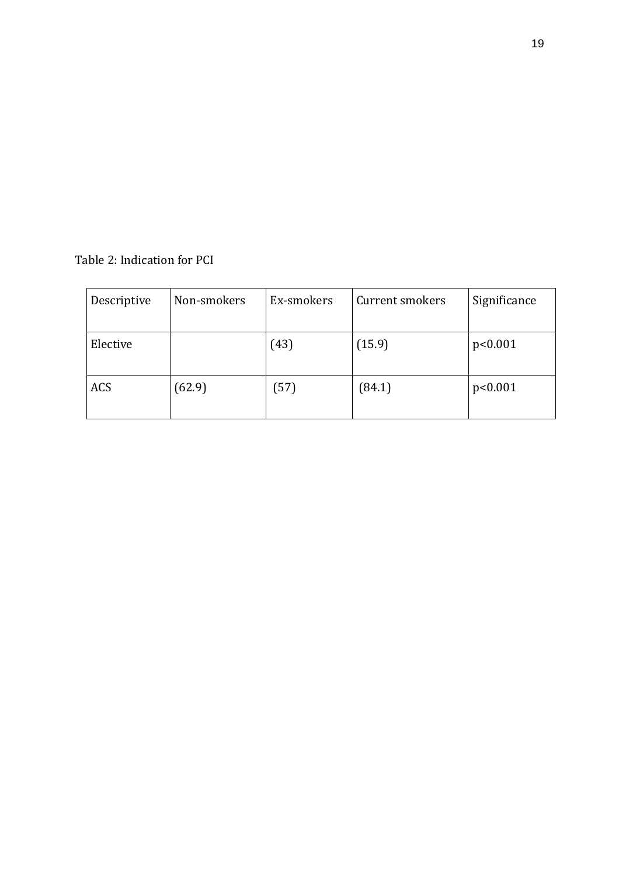# Table 2: Indication for PCI

| Descriptive | Non-smokers | Ex-smokers | Current smokers | Significance |
|-------------|-------------|------------|-----------------|--------------|
| Elective    |             | (43)       | (15.9)          | p<0.001      |
| <b>ACS</b>  | (62.9)      | (57)       | (84.1)          | p<0.001      |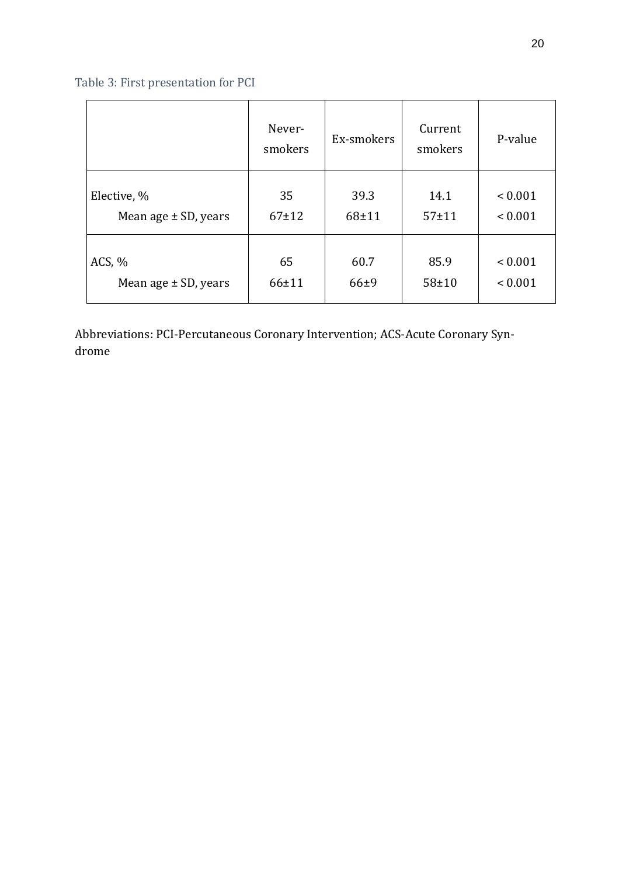# Table 3: First presentation for PCI

|                          | Never-<br>smokers | Ex-smokers | Current<br>smokers | P-value     |
|--------------------------|-------------------|------------|--------------------|-------------|
| Elective, %              | 35                | 39.3       | 14.1               | ${}< 0.001$ |
| Mean age $\pm$ SD, years | $67 + 12$         | $68 + 11$  | $57 + 11$          | ${}< 0.001$ |
| ACS, $%$                 | 65                | 60.7       | 85.9               | ${}< 0.001$ |
| Mean age $\pm$ SD, years | $66 + 11$         | $66 + 9$   | $58 + 10$          | ${}< 0.001$ |

Abbreviations: PCI-Percutaneous Coronary Intervention; ACS-Acute Coronary Syndrome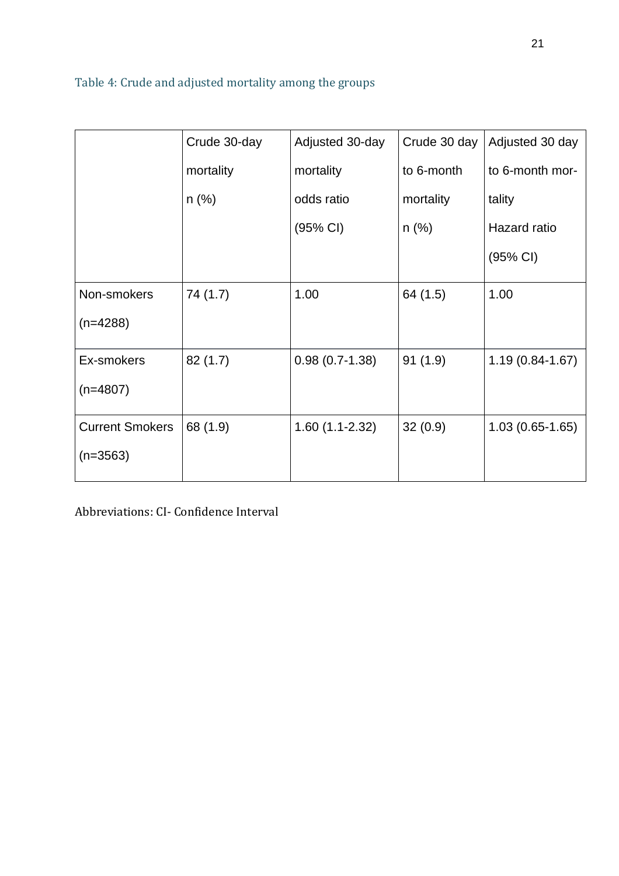# Table 4: Crude and adjusted mortality among the groups

|                        | Crude 30-day | Adjusted 30-day    | Crude 30 day $ $ | Adjusted 30 day     |
|------------------------|--------------|--------------------|------------------|---------------------|
|                        | mortality    | mortality          | to 6-month       | to 6-month mor-     |
|                        | n (%)        | odds ratio         | mortality        | tality              |
|                        |              | $(95% \text{ Cl})$ | $n (\%)$         | Hazard ratio        |
|                        |              |                    |                  | $(95% \text{ Cl})$  |
| Non-smokers            | 74 (1.7)     | 1.00               | 64 (1.5)         | 1.00                |
| $(n=4288)$             |              |                    |                  |                     |
| Ex-smokers             | 82(1.7)      | $0.98(0.7-1.38)$   | 91(1.9)          | $1.19(0.84 - 1.67)$ |
| $(n=4807)$             |              |                    |                  |                     |
| <b>Current Smokers</b> | 68 (1.9)     | $1.60(1.1-2.32)$   | 32(0.9)          | $1.03(0.65-1.65)$   |
| $(n=3563)$             |              |                    |                  |                     |
|                        |              |                    |                  |                     |

Abbreviations: CI- Confidence Interval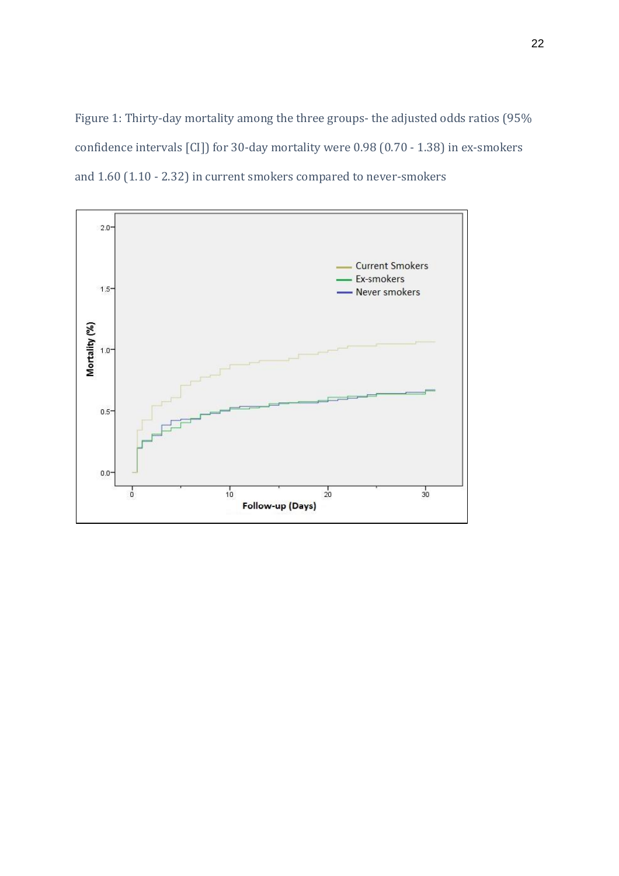Figure 1: Thirty-day mortality among the three groups- the adjusted odds ratios (95% confidence intervals [CI]) for 30-day mortality were 0.98 (0.70 - 1.38) in ex-smokers and 1.60 (1.10 - 2.32) in current smokers compared to never-smokers